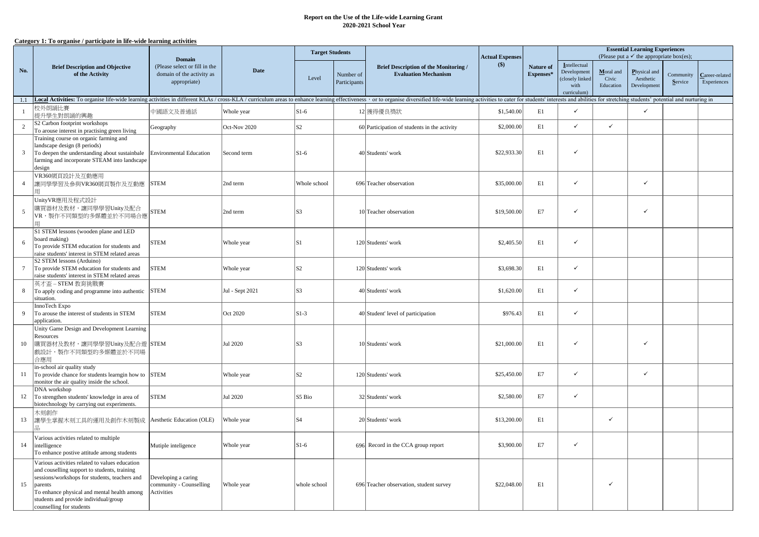## **2020-2021 School Year Report on the Use of the Life-wide Learning Grant**

## **Category 1: To organise / participate in life-wide learning activities**

| No.             | <b>Brief Description and Objective</b><br>of the Activity                                                                                                                                                                                                                      | <b>Domain</b>                                                              |                 | <b>Target Students</b> |                                                                                                          |                                              | <b>Actual Expenses</b> |                                                                      | <b>Essential Learning Experiences</b><br>(Please put a $\checkmark$ the appropriate box(es); |                                          |                      |                               |  |
|-----------------|--------------------------------------------------------------------------------------------------------------------------------------------------------------------------------------------------------------------------------------------------------------------------------|----------------------------------------------------------------------------|-----------------|------------------------|----------------------------------------------------------------------------------------------------------|----------------------------------------------|------------------------|----------------------------------------------------------------------|----------------------------------------------------------------------------------------------|------------------------------------------|----------------------|-------------------------------|--|
|                 |                                                                                                                                                                                                                                                                                | (Please select or fill in the<br>domain of the activity as<br>appropriate) | <b>Date</b>     | Level                  | <b>Brief Description of the Monitoring /</b><br><b>Evaluation Mechanism</b><br>Number of<br>Participants | \$)                                          | Nature of<br>Expenses* | Intellectual<br>Development<br>closely linked<br>with<br>curriculum) | Moral and<br>Civic<br>Education                                                              | Physical and<br>Aesthetic<br>Development | Community<br>Service | Career-related<br>Experiences |  |
|                 | 1.1   Local Activities: To organise life-wide learning activities in different KLAs / cross-KLA / curriculum areas to enhance learning effectiveness $\cdot$ or to organise diversified life-wide learning activities to cater fo                                              |                                                                            |                 |                        |                                                                                                          |                                              |                        |                                                                      |                                                                                              |                                          |                      |                               |  |
|                 | 校外朗誦比賽<br>提升學生對朗誦的興趣                                                                                                                                                                                                                                                           | 中國語文及普通話                                                                   | Whole year      | $S1-6$                 |                                                                                                          | 12 獲得優良獎狀                                    | \$1,540.00             | E1                                                                   | $\checkmark$                                                                                 |                                          | $\checkmark$         |                               |  |
| $\overline{c}$  | S <sub>2</sub> Carbon footprint workshops<br>To arouse interest in practising green living                                                                                                                                                                                     | Geography                                                                  | Oct-Nov 2020    | S <sub>2</sub>         |                                                                                                          | 60 Participation of students in the activity | \$2,000.00             | E1                                                                   | $\checkmark$                                                                                 | ✓                                        |                      |                               |  |
| $\mathbf{3}$    | Training course on organic farming and<br>landscape design (8 periods)<br>To deepen the understanding about sustainbale<br>farming and incorporate STEAM into landscape<br>design                                                                                              | <b>Environmental Education</b>                                             | Second term     | $S1-6$                 |                                                                                                          | 40 Students' work                            | \$22,933.30            | E1                                                                   | $\checkmark$                                                                                 |                                          |                      |                               |  |
| $\overline{4}$  | VR360網頁設計及互動應用<br>讓同學學習及參與VR360網頁製作及互動應                                                                                                                                                                                                                                        | <b>STEM</b>                                                                | 2nd term        | Whole school           |                                                                                                          | 696 Teacher observation                      | \$35,000.00            | E1                                                                   | $\checkmark$                                                                                 |                                          | $\checkmark$         |                               |  |
| 5               | UnityVR應用及程式設計<br>購買器材及教材,讓同學學習Unity及配合<br>VR, 製作不同類型的多媒體並於不同場合應                                                                                                                                                                                                               | <b>STEM</b>                                                                | 2nd term        | ls3                    |                                                                                                          | 10 Teacher observation                       | \$19,500.00            | E7                                                                   | $\checkmark$                                                                                 |                                          | $\checkmark$         |                               |  |
| 6               | S1 STEM lessons (wooden plane and LED<br>board making)<br>To provide STEM education for students and<br>raise students' interest in STEM related areas                                                                                                                         | <b>STEM</b>                                                                | Whole year      | ls1                    |                                                                                                          | 120 Students' work                           | \$2,405.50             | E1                                                                   | $\checkmark$                                                                                 |                                          |                      |                               |  |
| $7\phantom{.0}$ | S2 STEM lessons (Arduino)<br>To provide STEM education for students and<br>raise students' interest in STEM related areas                                                                                                                                                      | <b>STEM</b>                                                                | Whole year      | S <sub>2</sub>         |                                                                                                          | 120 Students' work                           | \$3,698.30             | E1                                                                   | $\checkmark$                                                                                 |                                          |                      |                               |  |
| 8               | 英才盃-STEM 教育挑戰賽<br>To apply coding and programme into authentic<br>situation.                                                                                                                                                                                                   | <b>STEM</b>                                                                | Jul - Sept 2021 | ls3                    |                                                                                                          | 40 Students' work                            | \$1,620.00             | E1                                                                   | $\checkmark$                                                                                 |                                          |                      |                               |  |
| 9               | InnoTech Expo<br>To arouse the interest of students in STEM<br>application.                                                                                                                                                                                                    | <b>STEM</b>                                                                | Oct 2020        | $S1-3$                 |                                                                                                          | 40 Student' level of participation           | \$976.43               | E1                                                                   | $\checkmark$                                                                                 |                                          |                      |                               |  |
| 10              | Unity Game Design and Development Learning<br>Resources<br>購買器材及教材,讓同學學習Unity及配合遊  STEM<br>戲設計,製作不同類型的多媒體並於不同場<br>合應用                                                                                                                                                          |                                                                            | Jul 2020        | S3                     |                                                                                                          | 10 Students' work                            | \$21,000.00            | E1                                                                   | $\checkmark$                                                                                 |                                          | $\checkmark$         |                               |  |
| 11              | in-school air quality study<br>To provide chance for students learngin how to<br>monitor the air quality inside the school.                                                                                                                                                    | <b>STEM</b>                                                                | Whole year      | ls2                    |                                                                                                          | 120 Students' work                           | \$25,450.00            | E7                                                                   | $\checkmark$                                                                                 |                                          | $\checkmark$         |                               |  |
| 12              | DNA workshop<br>To strengthen students' knowledge in area of<br>biotechnology by carrying out experiments.                                                                                                                                                                     | <b>STEM</b>                                                                | Jul 2020        | S5 Bio                 |                                                                                                          | 32 Students' work                            | \$2,580.00             | E7                                                                   | $\checkmark$                                                                                 |                                          |                      |                               |  |
| 13              | 木刻創作<br>讓學生掌握木刻工具的運用及創作木刻製成                                                                                                                                                                                                                                                    | Aesthetic Education (OLE)                                                  | Whole year      | lS4                    |                                                                                                          | 20 Students' work                            | \$13,200.00            | E1                                                                   |                                                                                              | ✓                                        |                      |                               |  |
| 14              | Various activities related to multiple<br>intelligence<br>To enhance postive attitude among students                                                                                                                                                                           | Mutiple inteligence                                                        | Whole year      | $S1-6$                 | 696                                                                                                      | Record in the CCA group report               | \$3,900.00             | E7                                                                   | $\checkmark$                                                                                 |                                          |                      |                               |  |
| 15              | Various activities related to values education<br>and couselling support to students, training<br>sessions/workshops for students, teachers and<br>parents<br>To enhance physical and mental health among<br>students and provide individual/group<br>counselling for students | Developing a caring<br>community - Counselling<br>Activities               | Whole year      | whole school           |                                                                                                          | 696 Teacher observation, student survey      | \$22,048.00            | E1                                                                   |                                                                                              | ✓                                        |                      |                               |  |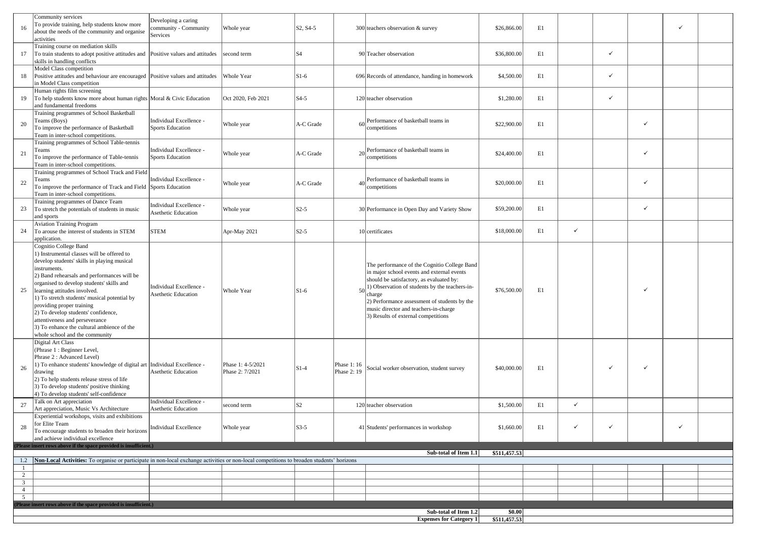| 16                   | Community services<br>To provide training, help students know more<br>about the needs of the community and organise<br>activities                                                                                                                                                                                                                                                                                                                                                                    | Developing a caring<br>community - Community<br>Services | Whole year                           | S <sub>2</sub> , S <sub>4</sub> -5 |                            | 300 teachers observation & survey                                                                                                                                                                                                                                                                                                  | \$26,866.00            | E1 |              |   |              | ✓ |  |
|----------------------|------------------------------------------------------------------------------------------------------------------------------------------------------------------------------------------------------------------------------------------------------------------------------------------------------------------------------------------------------------------------------------------------------------------------------------------------------------------------------------------------------|----------------------------------------------------------|--------------------------------------|------------------------------------|----------------------------|------------------------------------------------------------------------------------------------------------------------------------------------------------------------------------------------------------------------------------------------------------------------------------------------------------------------------------|------------------------|----|--------------|---|--------------|---|--|
| 17                   | Training course on mediation skills<br>To train students to adopt positive attitudes and<br>skills in handling conflicts                                                                                                                                                                                                                                                                                                                                                                             | Positive values and attitudes                            | second term                          | S <sub>4</sub>                     |                            | 90 Teacher observation                                                                                                                                                                                                                                                                                                             | \$36,800.00            | E1 |              | ✓ |              |   |  |
| 18                   | Model Class competition<br>Positive attitudes and behaviour are encouraged  Positive values and attitudes<br>in Model Class competition                                                                                                                                                                                                                                                                                                                                                              |                                                          | Whole Year                           | $S1-6$                             |                            | 696 Records of attendance, handing in homework                                                                                                                                                                                                                                                                                     | \$4,500.00             | E1 |              | ✓ |              |   |  |
| 19                   | Human rights film screening<br>To help students know more about human rights Moral & Civic Education<br>and fundamental freedoms                                                                                                                                                                                                                                                                                                                                                                     |                                                          | Oct 2020, Feb 2021                   | $S4-5$                             |                            | 120 teacher observation                                                                                                                                                                                                                                                                                                            | \$1,280.00             | E1 |              | ✓ |              |   |  |
| 20                   | Training programmes of School Basketball<br>Teams (Boys)<br>To improve the performance of Basketball<br>Team in inter-school competitions.                                                                                                                                                                                                                                                                                                                                                           | Individual Excellence -<br><b>Sports Education</b>       | Whole year                           | A-C Grade                          | 60                         | Performance of basketball teams in<br>competitions                                                                                                                                                                                                                                                                                 | \$22,900.00            | E1 |              |   | $\checkmark$ |   |  |
| 21                   | Training programmes of School Table-tennis<br>Teams<br>To improve the performance of Table-tennis<br>Team in inter-school competitions.                                                                                                                                                                                                                                                                                                                                                              | Individual Excellence -<br><b>Sports Education</b>       | Whole year                           | A-C Grade                          |                            | $20$ <sup>Performance of basketball teams in</sup><br>competitions                                                                                                                                                                                                                                                                 | \$24,400.00            | E1 |              |   | $\checkmark$ |   |  |
| 22                   | Training programmes of School Track and Field<br>Teams<br>To improve the performance of Track and Field<br>Team in inter-school competitions.                                                                                                                                                                                                                                                                                                                                                        | Individual Excellence -<br>Sports Education              | Whole year                           | A-C Grade                          |                            | $40$ Performance of basketball teams in<br>competitions                                                                                                                                                                                                                                                                            | \$20,000.00            | E1 |              |   | $\checkmark$ |   |  |
| 23                   | Training programmes of Dance Team<br>To stretch the potentials of students in music<br>and sports                                                                                                                                                                                                                                                                                                                                                                                                    | Individual Excellence -<br>Asethetic Education           | Whole year                           | $S2-5$                             |                            | 30 Performance in Open Day and Variety Show                                                                                                                                                                                                                                                                                        | \$59,200.00            | E1 |              |   | $\checkmark$ |   |  |
| 24                   | <b>Aviation Training Program</b><br>To arouse the interest of students in STEM<br>application.                                                                                                                                                                                                                                                                                                                                                                                                       | <b>STEM</b>                                              | Apr-May 2021                         | $S2-5$                             |                            | 10 certificates                                                                                                                                                                                                                                                                                                                    | \$18,000.00            | E1 | $\checkmark$ |   |              |   |  |
| 25                   | Cognitio College Band<br>1) Instrumental classes will be offered to<br>develop students' skills in playing musical<br>instruments.<br>2) Band rehearsals and performances will be<br>organised to develop students' skills and<br>learning attitudes involved.<br>1) To stretch students' musical potential by<br>providing proper training<br>2) To develop students' confidence,<br>attentiveness and perseverance<br>3) To enhance the cultural ambience of the<br>whole school and the community | Individual Excellence -<br>Asethetic Education           | Whole Year                           | $S1-6$                             | 50                         | The performance of the Cognitio College Band<br>in major school events and external events<br>should be satisfactory, as evaluated by:<br>1) Observation of students by the teachers-in-<br>charge<br>2) Performance assessment of students by the<br>music director and teachers-in-charge<br>3) Results of external competitions | \$76,500.00            | E1 |              |   | $\checkmark$ |   |  |
| 26                   | Digital Art Class<br>(Phrase 1: Beginner Level,<br>Phrase 2: Advanced Level)<br>1) To enhance students' knowledge of digital art<br>drawing<br>2) To help students release stress of life<br>3) To develop students' positive thinking<br>4) To develop students' self-confidence                                                                                                                                                                                                                    | Individual Excellence -<br><b>Asethetic Education</b>    | Phase 1: 4-5/2021<br>Phase 2: 7/2021 | $S1-4$                             | Phase 1: 16<br>Phase 2: 19 | Social worker observation, student survey                                                                                                                                                                                                                                                                                          | \$40,000.00            | E1 |              | ✓ | $\checkmark$ |   |  |
| 27                   | Talk on Art appreciation<br>Art appreciation, Music Vs Architecture                                                                                                                                                                                                                                                                                                                                                                                                                                  | Individual Excellence -<br>Asethetic Education           | second term                          | S <sub>2</sub>                     |                            | 120 teacher observation                                                                                                                                                                                                                                                                                                            | \$1,500.00             | E1 | $\checkmark$ |   |              |   |  |
| 28                   | Experiential workshops, visits and exhibitions<br>for Elite Team<br>To encourage students to broaden their horizons<br>and achieve individual excellence                                                                                                                                                                                                                                                                                                                                             | <b>Individual Excellence</b>                             | Whole year                           | $S3-5$                             |                            | 41 Students' performances in workshop                                                                                                                                                                                                                                                                                              | \$1,660.00             | E1 | $\checkmark$ | ✓ |              | ✓ |  |
|                      | (Please insert rows above if the space provided is insufficient.)                                                                                                                                                                                                                                                                                                                                                                                                                                    |                                                          |                                      |                                    |                            | Sub-total of Item 1.1                                                                                                                                                                                                                                                                                                              | \$511,457.53           |    |              |   |              |   |  |
| $\mathbf{1}$         | 1.2 Non-Local Activities: To organise or participate in non-local exchange activities or non-local competitions to broaden students' horizons                                                                                                                                                                                                                                                                                                                                                        |                                                          |                                      |                                    |                            |                                                                                                                                                                                                                                                                                                                                    |                        |    |              |   |              |   |  |
| 2<br>$\overline{3}$  |                                                                                                                                                                                                                                                                                                                                                                                                                                                                                                      |                                                          |                                      |                                    |                            |                                                                                                                                                                                                                                                                                                                                    |                        |    |              |   |              |   |  |
| 4<br>$5\overline{)}$ |                                                                                                                                                                                                                                                                                                                                                                                                                                                                                                      |                                                          |                                      |                                    |                            |                                                                                                                                                                                                                                                                                                                                    |                        |    |              |   |              |   |  |
|                      | Please insert rows above if the space provided is insufficient.)                                                                                                                                                                                                                                                                                                                                                                                                                                     |                                                          |                                      |                                    |                            |                                                                                                                                                                                                                                                                                                                                    |                        |    |              |   |              |   |  |
|                      |                                                                                                                                                                                                                                                                                                                                                                                                                                                                                                      |                                                          |                                      |                                    |                            | Sub-total of Item 1.2<br><b>Expenses for Category 1</b>                                                                                                                                                                                                                                                                            | \$0.00<br>\$511,457.53 |    |              |   |              |   |  |